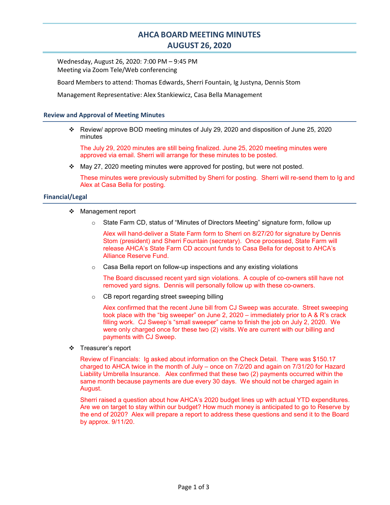# AHCA BOARD MEETING MINUTES AUGUST 26, 2020

Wednesday, August 26, 2020: 7:00 PM – 9:45 PM Meeting via Zoom Tele/Web conferencing

Board Members to attend: Thomas Edwards, Sherri Fountain, Ig Justyna, Dennis Stom

Management Representative: Alex Stankiewicz, Casa Bella Management

# Review and Approval of Meeting Minutes

 Review/ approve BOD meeting minutes of July 29, 2020 and disposition of June 25, 2020 minutes

The July 29, 2020 minutes are still being finalized. June 25, 2020 meeting minutes were approved via email. Sherri will arrange for these minutes to be posted.

 $\div$  May 27, 2020 meeting minutes were approved for posting, but were not posted.

These minutes were previously submitted by Sherri for posting. Sherri will re-send them to Ig and Alex at Casa Bella for posting.

# Financial/Legal

- ❖ Management report
	- $\circ$  State Farm CD, status of "Minutes of Directors Meeting" signature form, follow up

Alex will hand-deliver a State Farm form to Sherri on 8/27/20 for signature by Dennis Stom (president) and Sherri Fountain (secretary). Once processed, State Farm will release AHCA's State Farm CD account funds to Casa Bella for deposit to AHCA's Alliance Reserve Fund.

o Casa Bella report on follow-up inspections and any existing violations

The Board discussed recent yard sign violations. A couple of co-owners still have not removed yard signs. Dennis will personally follow up with these co-owners.

o CB report regarding street sweeping billing

Alex confirmed that the recent June bill from CJ Sweep was accurate. Street sweeping took place with the "big sweeper" on June 2, 2020 – immediately prior to A & R's crack filling work. CJ Sweep's "small sweeper" came to finish the job on July 2, 2020. We were only charged once for these two (2) visits. We are current with our billing and payments with CJ Sweep.

Treasurer's report

Review of Financials: Ig asked about information on the Check Detail. There was \$150.17 charged to AHCA twice in the month of July – once on 7/2/20 and again on 7/31/20 for Hazard Liability Umbrella Insurance. Alex confirmed that these two (2) payments occurred within the same month because payments are due every 30 days. We should not be charged again in August.

Sherri raised a question about how AHCA's 2020 budget lines up with actual YTD expenditures. Are we on target to stay within our budget? How much money is anticipated to go to Reserve by the end of 2020? Alex will prepare a report to address these questions and send it to the Board by approx. 9/11/20.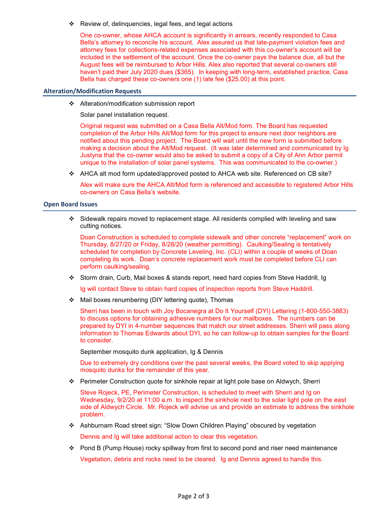Review of, delinquencies, legal fees, and legal actions

One co-owner, whose AHCA account is significantly in arrears, recently responded to Casa Bella's attorney to reconcile his account. Alex assured us that late-payment violation fees and attorney fees for collections-related expenses associated with this co-owner's account will be included in the settlement of the account. Once the co-owner pays the balance due, all but the August fees will be reimbursed to Arbor Hills. Alex also reported that several co-owners still haven't paid their July 2020 dues (\$365). In keeping with long-term, established practice, Casa Bella has charged these co-owners one (1) late fee (\$25.00) at this point.

## Alteration/Modification Requests

❖ Alteration/modification submission report

Solar panel installation request.

Original request was submitted on a Casa Bella Alt/Mod form. The Board has requested completion of the Arbor Hills Alt/Mod form for this project to ensure next door neighbors are notified about this pending project. The Board will wait until the new form is submitted before making a decision about the Alt/Mod request. (It was later determined and communicated by Ig Justyna that the co-owner would also be asked to submit a copy of a City of Ann Arbor permit unique to the installation of solar panel systems. This was communicated to the co-owner.)

AHCA alt mod form updated/approved posted to AHCA web site. Referenced on CB site?

Alex will make sure the AHCA Alt/Mod form is referenced and accessible to registered Arbor Hills co-owners on Casa Bella's website.

## Open Board Issues

 Sidewalk repairs moved to replacement stage. All residents complied with leveling and saw cutting notices.

Doan Construction is scheduled to complete sidewalk and other concrete "replacement" work on Thursday, 8/27/20 or Friday, 8/28/20 (weather permitting). Caulking/Sealing is tentatively scheduled for completion by Concrete Leveling, Inc. (CLI) within a couple of weeks of Doan completing its work. Doan's concrete replacement work must be completed before CLI can perform caulking/sealing.

Storm drain, Curb, Mail boxes & stands report, need hard copies from Steve Haddrill, Ig

Ig will contact Steve to obtain hard copies of inspection reports from Steve Haddrill.

Mail boxes renumbering (DIY lettering quote), Thomas

Sherri has been in touch with Joy Bocanegra at Do It Yourself (DYI) Lettering (1-800-550-3883) to discuss options for obtaining adhesive numbers for our mailboxes. The numbers can be prepared by DYI in 4-number sequences that match our street addresses. Sherri will pass along information to Thomas Edwards about DYI, so he can follow-up to obtain samples for the Board to consider.

September mosquito dunk application, Ig & Dennis

Due to extremely dry conditions over the past several weeks, the Board voted to skip applying mosquito dunks for the remainder of this year.

Perimeter Construction quote for sinkhole repair at light pole base on Aldwych, Sherri

Steve Rojeck, PE, Perimeter Construction, is scheduled to meet with Sherri and Ig on Wednesday, 9/2/20 at 11:00 a.m. to inspect the sinkhole next to the solar light pole on the east side of Aldwych Circle. Mr. Rojeck will advise us and provide an estimate to address the sinkhole problem.

Ashburnam Road street sign: "Slow Down Children Playing" obscured by vegetation

Dennis and Ig will take additional action to clear this vegetation.

 $\div$  Pond B (Pump House) rocky spillway from first to second pond and riser need maintenance Vegetation, debris and rocks need to be cleared. Ig and Dennis agreed to handle this.